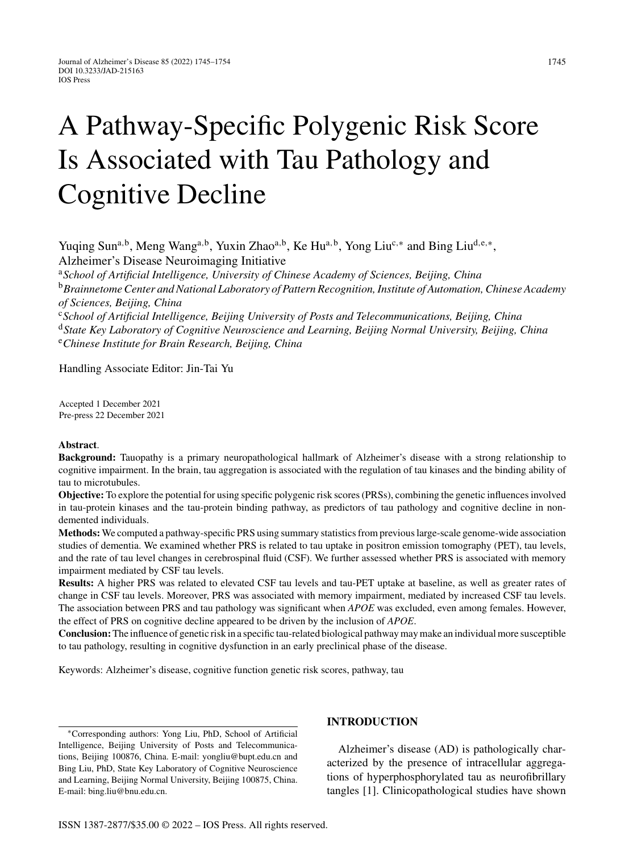# A Pathway-Specific Polygenic Risk Score Is Associated with Tau Pathology and Cognitive Decline

Yuqing Sun<sup>a,b</sup>, Meng Wang<sup>a,b</sup>, Yuxin Zhao<sup>a,b</sup>, Ke Hu<sup>a,b</sup>, Yong Liu<sup>c,\*</sup> and Bing Liu<sup>d,e,\*</sup>, Alzheimer's Disease Neuroimaging Initiative

<sup>a</sup>*School of Artificial Intelligence, University of Chinese Academy of Sciences, Beijing, China* <sup>b</sup>*Brainnetome Center and National Laboratory of Pattern Recognition, Institute of Automation, Chinese Academy of Sciences, Beijing, China*

<sup>c</sup>*School of Artificial Intelligence, Beijing University of Posts and Telecommunications, Beijing, China* <sup>d</sup>*State Key Laboratory of Cognitive Neuroscience and Learning, Beijing Normal University, Beijing, China* <sup>e</sup>*Chinese Institute for Brain Research, Beijing, China*

Handling Associate Editor: Jin-Tai Yu

Accepted 1 December 2021 Pre-press 22 December 2021

#### **Abstract**.

**Background:** Tauopathy is a primary neuropathological hallmark of Alzheimer's disease with a strong relationship to cognitive impairment. In the brain, tau aggregation is associated with the regulation of tau kinases and the binding ability of tau to microtubules.

**Objective:** To explore the potential for using specific polygenic risk scores (PRSs), combining the genetic influences involved in tau-protein kinases and the tau-protein binding pathway, as predictors of tau pathology and cognitive decline in nondemented individuals.

**Methods:** We computed a pathway-specific PRS using summary statistics from previous large-scale genome-wide association studies of dementia. We examined whether PRS is related to tau uptake in positron emission tomography (PET), tau levels, and the rate of tau level changes in cerebrospinal fluid (CSF). We further assessed whether PRS is associated with memory impairment mediated by CSF tau levels.

**Results:** A higher PRS was related to elevated CSF tau levels and tau-PET uptake at baseline, as well as greater rates of change in CSF tau levels. Moreover, PRS was associated with memory impairment, mediated by increased CSF tau levels. The association between PRS and tau pathology was significant when *APOE* was excluded, even among females. However, the effect of PRS on cognitive decline appeared to be driven by the inclusion of *APOE*.

**Conclusion:**The influence of genetic risk in a specific tau-related biological pathway may make an individual more susceptible to tau pathology, resulting in cognitive dysfunction in an early preclinical phase of the disease.

Keywords: Alzheimer's disease, cognitive function genetic risk scores, pathway, tau

∗Corresponding authors: Yong Liu, PhD, School of Artificial Intelligence, Beijing University of Posts and Telecommunications, Beijing 100876, China. E-mail: [yongliu@bupt.edu.cn](mailto:yongliu@bupt.edu.cn) and Bing Liu, PhD, State Key Laboratory of Cognitive Neuroscience and Learning, Beijing Normal University, Beijing 100875, China. E-mail: [bing.liu@bnu.edu.cn.](mailto:bing.liu@bnu.edu.cn)

#### **INTRODUCTION**

Alzheimer's disease (AD) is pathologically characterized by the presence of intracellular aggregations of hyperphosphorylated tau as neurofibrillary tangles [1]. Clinicopathological studies have shown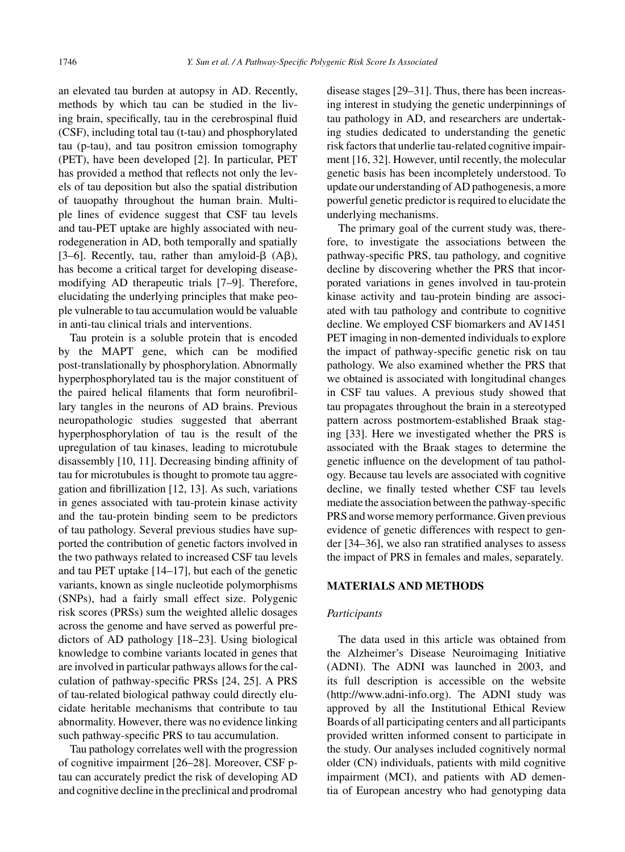an elevated tau burden at autopsy in AD. Recently, methods by which tau can be studied in the living brain, specifically, tau in the cerebrospinal fluid (CSF), including total tau (t-tau) and phosphorylated tau (p-tau), and tau positron emission tomography (PET), have been developed [2]. In particular, PET has provided a method that reflects not only the levels of tau deposition but also the spatial distribution of tauopathy throughout the human brain. Multiple lines of evidence suggest that CSF tau levels and tau-PET uptake are highly associated with neurodegeneration in AD, both temporally and spatially [3-6]. Recently, tau, rather than amyloid- $\beta$  (A $\beta$ ), has become a critical target for developing diseasemodifying AD therapeutic trials [7–9]. Therefore, elucidating the underlying principles that make people vulnerable to tau accumulation would be valuable in anti-tau clinical trials and interventions.

Tau protein is a soluble protein that is encoded by the MAPT gene, which can be modified post-translationally by phosphorylation. Abnormally hyperphosphorylated tau is the major constituent of the paired helical filaments that form neurofibrillary tangles in the neurons of AD brains. Previous neuropathologic studies suggested that aberrant hyperphosphorylation of tau is the result of the upregulation of tau kinases, leading to microtubule disassembly [10, 11]. Decreasing binding affinity of tau for microtubules is thought to promote tau aggregation and fibrillization [12, 13]. As such, variations in genes associated with tau-protein kinase activity and the tau-protein binding seem to be predictors of tau pathology. Several previous studies have supported the contribution of genetic factors involved in the two pathways related to increased CSF tau levels and tau PET uptake [14–17], but each of the genetic variants, known as single nucleotide polymorphisms (SNPs), had a fairly small effect size. Polygenic risk scores (PRSs) sum the weighted allelic dosages across the genome and have served as powerful predictors of AD pathology [18–23]. Using biological knowledge to combine variants located in genes that are involved in particular pathways allows for the calculation of pathway-specific PRSs [24, 25]. A PRS of tau-related biological pathway could directly elucidate heritable mechanisms that contribute to tau abnormality. However, there was no evidence linking such pathway-specific PRS to tau accumulation.

Tau pathology correlates well with the progression of cognitive impairment [26–28]. Moreover, CSF ptau can accurately predict the risk of developing AD and cognitive decline in the preclinical and prodromal disease stages [29–31]. Thus, there has been increasing interest in studying the genetic underpinnings of tau pathology in AD, and researchers are undertaking studies dedicated to understanding the genetic risk factors that underlie tau-related cognitive impairment [16, 32]. However, until recently, the molecular genetic basis has been incompletely understood. To update our understanding of AD pathogenesis, a more powerful genetic predictor is required to elucidate the underlying mechanisms.

The primary goal of the current study was, therefore, to investigate the associations between the pathway-specific PRS, tau pathology, and cognitive decline by discovering whether the PRS that incorporated variations in genes involved in tau-protein kinase activity and tau-protein binding are associated with tau pathology and contribute to cognitive decline. We employed CSF biomarkers and AV1451 PET imaging in non-demented individuals to explore the impact of pathway-specific genetic risk on tau pathology. We also examined whether the PRS that we obtained is associated with longitudinal changes in CSF tau values. A previous study showed that tau propagates throughout the brain in a stereotyped pattern across postmortem-established Braak staging [33]. Here we investigated whether the PRS is associated with the Braak stages to determine the genetic influence on the development of tau pathology. Because tau levels are associated with cognitive decline, we finally tested whether CSF tau levels mediate the association between the pathway-specific PRS and worse memory performance. Given previous evidence of genetic differences with respect to gender [34–36], we also ran stratified analyses to assess the impact of PRS in females and males, separately.

#### **MATERIALS AND METHODS**

#### *Participants*

The data used in this article was obtained from the Alzheimer's Disease Neuroimaging Initiative (ADNI). The ADNI was launched in 2003, and its full description is accessible on the website [\(http://www.adni-info.org](http://www.adni-info.org)). The ADNI study was approved by all the Institutional Ethical Review Boards of all participating centers and all participants provided written informed consent to participate in the study. Our analyses included cognitively normal older (CN) individuals, patients with mild cognitive impairment (MCI), and patients with AD dementia of European ancestry who had genotyping data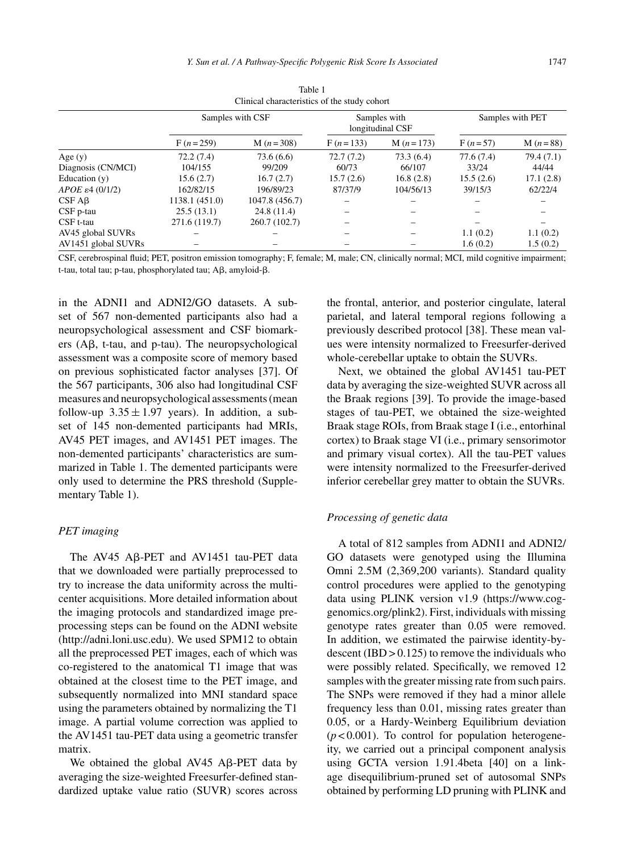|                           | Samples with CSF |                | Samples with<br>longitudinal CSF |            | Samples with PET |            |
|---------------------------|------------------|----------------|----------------------------------|------------|------------------|------------|
|                           | $F(n=259)$       | $M(n=308)$     | $F(n=133)$                       | $M(n=173)$ | $F(n=57)$        | $M(n=88)$  |
| Age $(y)$                 | 72.2(7.4)        | 73.6 (6.6)     | 72.7(7.2)                        | 73.3(6.4)  | 77.6(7.4)        | 79.4 (7.1) |
| Diagnosis (CN/MCI)        | 104/155          | 99/209         | 60/73                            | 66/107     | 33/24            | 44/44      |
| Education $(v)$           | 15.6(2.7)        | 16.7(2.7)      | 15.7(2.6)                        | 16.8(2.8)  | 15.5(2.6)        | 17.1(2.8)  |
| $APOE \epsilon 4$ (0/1/2) | 162/82/15        | 196/89/23      | 87/37/9                          | 104/56/13  | 39/15/3          | 62/22/4    |
| CSFAB                     | 1138.1 (451.0)   | 1047.8 (456.7) |                                  |            |                  |            |
| $CSF$ p-tau               | 25.5(13.1)       | 24.8(11.4)     |                                  |            |                  |            |
| CSF t-tau                 | 271.6 (119.7)    | 260.7 (102.7)  |                                  |            |                  |            |
| AV45 global SUVRs         |                  |                |                                  |            | 1.1(0.2)         | 1.1(0.2)   |
| AV1451 global SUVRs       |                  |                |                                  |            | 1.6(0.2)         | 1.5(0.2)   |

Table 1 Clinical characteristics of the study cohort

CSF, cerebrospinal fluid; PET, positron emission tomography; F, female; M, male; CN, clinically normal; MCI, mild cognitive impairment;  $t$ -tau, total tau; p-tau, phosphorylated tau;  $A\beta$ , amyloid- $\beta$ .

in the ADNI1 and ADNI2/GO datasets. A subset of 567 non-demented participants also had a neuropsychological assessment and CSF biomarkers  $(A\beta, t$ -tau, and p-tau). The neuropsychological assessment was a composite score of memory based on previous sophisticated factor analyses [37]. Of the 567 participants, 306 also had longitudinal CSF measures and neuropsychological assessments (mean follow-up  $3.35 \pm 1.97$  years). In addition, a subset of 145 non-demented participants had MRIs, AV45 PET images, and AV1451 PET images. The non-demented participants' characteristics are summarized in Table 1. The demented participants were only used to determine the PRS threshold (Supplementary Table 1).

#### *PET imaging*

The AV45 A $\beta$ -PET and AV1451 tau-PET data that we downloaded were partially preprocessed to try to increase the data uniformity across the multicenter acquisitions. More detailed information about the imaging protocols and standardized image preprocessing steps can be found on the ADNI website [\(http://adni.loni.usc.edu\)](http://adni.loni.usc.edu). We used SPM12 to obtain all the preprocessed PET images, each of which was co-registered to the anatomical T1 image that was obtained at the closest time to the PET image, and subsequently normalized into MNI standard space using the parameters obtained by normalizing the T1 image. A partial volume correction was applied to the AV1451 tau-PET data using a geometric transfer matrix.

We obtained the global  $AV45$  A $\beta$ -PET data by averaging the size-weighted Freesurfer-defined standardized uptake value ratio (SUVR) scores across the frontal, anterior, and posterior cingulate, lateral parietal, and lateral temporal regions following a previously described protocol [38]. These mean values were intensity normalized to Freesurfer-derived whole-cerebellar uptake to obtain the SUVRs.

Next, we obtained the global AV1451 tau-PET data by averaging the size-weighted SUVR across all the Braak regions [39]. To provide the image-based stages of tau-PET, we obtained the size-weighted Braak stage ROIs, from Braak stage I (i.e., entorhinal cortex) to Braak stage VI (i.e., primary sensorimotor and primary visual cortex). All the tau-PET values were intensity normalized to the Freesurfer-derived inferior cerebellar grey matter to obtain the SUVRs.

#### *Processing of genetic data*

A total of 812 samples from ADNI1 and ADNI2/ GO datasets were genotyped using the Illumina Omni 2.5M (2,369,200 variants). Standard quality control procedures were applied to the genotyping data using PLINK version v1.9 [\(https://www.cog](https://www.cog-genomics.org/plink2)genomics.org/plink2). First, individuals with missing genotype rates greater than 0.05 were removed. In addition, we estimated the pairwise identity-bydescent  $(IBD > 0.125)$  to remove the individuals who were possibly related. Specifically, we removed 12 samples with the greater missing rate from such pairs. The SNPs were removed if they had a minor allele frequency less than 0.01, missing rates greater than 0.05, or a Hardy-Weinberg Equilibrium deviation  $(p<0.001)$ . To control for population heterogeneity, we carried out a principal component analysis using GCTA version 1.91.4beta [40] on a linkage disequilibrium-pruned set of autosomal SNPs obtained by performing LD pruning with PLINK and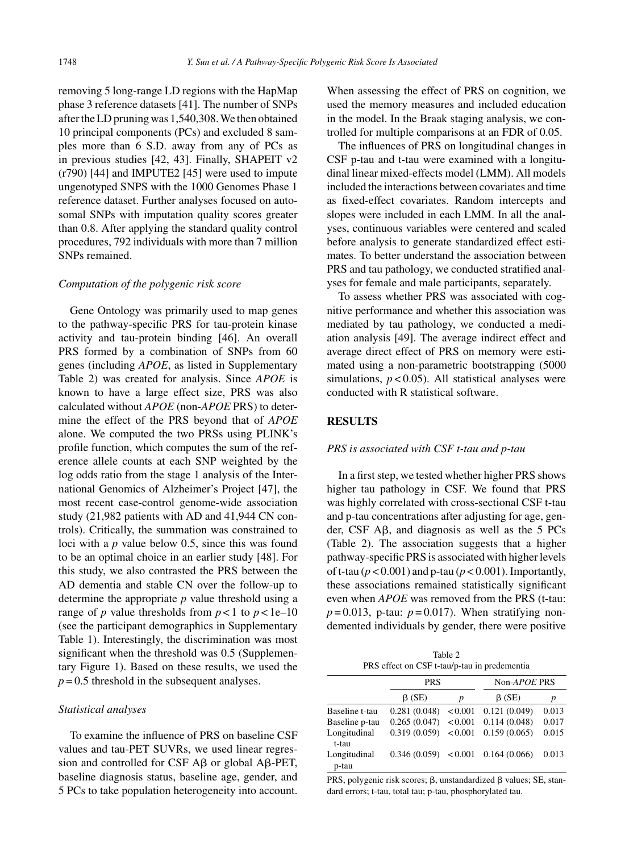removing 5 long-range LD regions with the HapMap phase 3 reference datasets [41]. The number of SNPs after the LD pruning was 1,540,308. We then obtained 10 principal components (PCs) and excluded 8 samples more than 6 S.D. away from any of PCs as in previous studies [42, 43]. Finally, SHAPEIT v2 (r790) [44] and IMPUTE2 [45] were used to impute ungenotyped SNPS with the 1000 Genomes Phase 1 reference dataset. Further analyses focused on autosomal SNPs with imputation quality scores greater than 0.8. After applying the standard quality control procedures, 792 individuals with more than 7 million SNPs remained.

#### *Computation of the polygenic risk score*

Gene Ontology was primarily used to map genes to the pathway-specific PRS for tau-protein kinase activity and tau-protein binding [46]. An overall PRS formed by a combination of SNPs from 60 genes (including *APOE*, as listed in Supplementary Table 2) was created for analysis. Since *APOE* is known to have a large effect size, PRS was also calculated without *APOE* (non-*APOE* PRS) to determine the effect of the PRS beyond that of *APOE* alone. We computed the two PRSs using PLINK's profile function, which computes the sum of the reference allele counts at each SNP weighted by the log odds ratio from the stage 1 analysis of the International Genomics of Alzheimer's Project [47], the most recent case-control genome-wide association study (21,982 patients with AD and 41,944 CN controls). Critically, the summation was constrained to loci with a *p* value below 0.5, since this was found to be an optimal choice in an earlier study [48]. For this study, we also contrasted the PRS between the AD dementia and stable CN over the follow-up to determine the appropriate *p* value threshold using a range of *p* value thresholds from  $p < 1$  to  $p < 1e-10$ (see the participant demographics in Supplementary Table 1). Interestingly, the discrimination was most significant when the threshold was 0.5 (Supplementary Figure 1). Based on these results, we used the  $p = 0.5$  threshold in the subsequent analyses.

#### *Statistical analyses*

To examine the influence of PRS on baseline CSF values and tau-PET SUVRs, we used linear regression and controlled for CSF  $\text{A}\beta$  or global  $\text{A}\beta$ -PET, baseline diagnosis status, baseline age, gender, and 5 PCs to take population heterogeneity into account. When assessing the effect of PRS on cognition, we used the memory measures and included education in the model. In the Braak staging analysis, we controlled for multiple comparisons at an FDR of 0.05.

The influences of PRS on longitudinal changes in CSF p-tau and t-tau were examined with a longitudinal linear mixed-effects model (LMM). All models included the interactions between covariates and time as fixed-effect covariates. Random intercepts and slopes were included in each LMM. In all the analyses, continuous variables were centered and scaled before analysis to generate standardized effect estimates. To better understand the association between PRS and tau pathology, we conducted stratified analyses for female and male participants, separately.

To assess whether PRS was associated with cognitive performance and whether this association was mediated by tau pathology, we conducted a mediation analysis [49]. The average indirect effect and average direct effect of PRS on memory were estimated using a non-parametric bootstrapping (5000 simulations,  $p < 0.05$ ). All statistical analyses were conducted with R statistical software.

### **RESULTS**

### *PRS is associated with CSF t-tau and p-tau*

In a first step, we tested whether higher PRS shows higher tau pathology in CSF. We found that PRS was highly correlated with cross-sectional CSF t-tau and p-tau concentrations after adjusting for age, gender, CSF  $\text{A}\beta$ , and diagnosis as well as the 5 PCs (Table 2). The association suggests that a higher pathway-specific PRS is associated with higher levels of t-tau (*p* < 0.001) and p-tau (*p* < 0.001). Importantly, these associations remained statistically significant even when *APOE* was removed from the PRS (t-tau:  $p = 0.013$ , p-tau:  $p = 0.017$ ). When stratifying nondemented individuals by gender, there were positive

Table 2 PRS effect on CSF t-tau/p-tau in predementia

|                       | <b>PRS</b>           |         | Non-APOE PRS |       |  |
|-----------------------|----------------------|---------|--------------|-------|--|
|                       | $\beta$ (SE)         | p       | $\beta$ (SE) | р     |  |
| Baseline t-tau        | 0.281(0.048)         | < 0.001 | 0.121(0.049) | 0.013 |  |
| Baseline p-tau        | 0.265(0.047)         | < 0.001 | 0.114(0.048) | 0.017 |  |
| Longitudinal<br>t-tau | 0.319(0.059)         | < 0.001 | 0.159(0.065) | 0.015 |  |
| Longitudinal<br>p-tau | 0.346(0.059) < 0.001 |         | 0.164(0.066) | 0.013 |  |

PRS, polygenic risk scores;  $\beta$ , unstandardized  $\beta$  values; SE, standard errors; t-tau, total tau; p-tau, phosphorylated tau.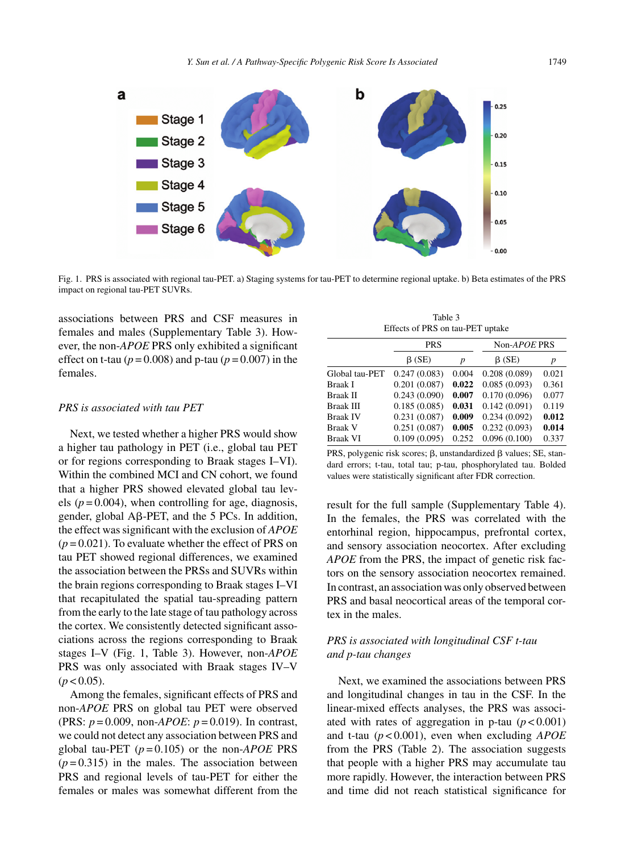

Fig. 1. PRS is associated with regional tau-PET. a) Staging systems for tau-PET to determine regional uptake. b) Beta estimates of the PRS impact on regional tau-PET SUVRs.

associations between PRS and CSF measures in females and males (Supplementary Table 3). However, the non-*APOE* PRS only exhibited a significant effect on t-tau ( $p = 0.008$ ) and p-tau ( $p = 0.007$ ) in the females.

#### *PRS is associated with tau PET*

Next, we tested whether a higher PRS would show a higher tau pathology in PET (i.e., global tau PET or for regions corresponding to Braak stages I–VI). Within the combined MCI and CN cohort, we found that a higher PRS showed elevated global tau levels ( $p = 0.004$ ), when controlling for age, diagnosis, gender, global  $\overline{AB}$ -PET, and the 5 PCs. In addition, the effect was significant with the exclusion of *APOE*  $(p = 0.021)$ . To evaluate whether the effect of PRS on tau PET showed regional differences, we examined the association between the PRSs and SUVRs within the brain regions corresponding to Braak stages I–VI that recapitulated the spatial tau-spreading pattern from the early to the late stage of tau pathology across the cortex. We consistently detected significant associations across the regions corresponding to Braak stages I–V (Fig. 1, Table 3). However, non-*APOE* PRS was only associated with Braak stages IV–V  $(p < 0.05)$ .

Among the females, significant effects of PRS and non-*APOE* PRS on global tau PET were observed (PRS: *p* = 0.009, non-*APOE*: *p* = 0.019). In contrast, we could not detect any association between PRS and global tau-PET  $(p=0.105)$  or the non-*APOE* PRS  $(p=0.315)$  in the males. The association between PRS and regional levels of tau-PET for either the females or males was somewhat different from the

Table 3 Effects of PRS on tau-PET uptake

|                 | <b>PRS</b>   |       | Non-APOE PRS |       |  |
|-----------------|--------------|-------|--------------|-------|--|
|                 | $\beta$ (SE) | p     | $\beta$ (SE) | p     |  |
| Global tau-PET  | 0.247(0.083) | 0.004 | 0.208(0.089) | 0.021 |  |
| Braak I         | 0.201(0.087) | 0.022 | 0.085(0.093) | 0.361 |  |
| Braak II        | 0.243(0.090) | 0.007 | 0.170(0.096) | 0.077 |  |
| Braak III       | 0.185(0.085) | 0.031 | 0.142(0.091) | 0.119 |  |
| <b>Braak IV</b> | 0.231(0.087) | 0.009 | 0.234(0.092) | 0.012 |  |
| <b>Braak V</b>  | 0.251(0.087) | 0.005 | 0.232(0.093) | 0.014 |  |
| <b>Braak VI</b> | 0.109(0.095) | 0.252 | 0.096(0.100) | 0.337 |  |

PRS, polygenic risk scores;  $\beta$ , unstandardized  $\beta$  values; SE, standard errors; t-tau, total tau; p-tau, phosphorylated tau. Bolded values were statistically significant after FDR correction.

result for the full sample (Supplementary Table 4). In the females, the PRS was correlated with the entorhinal region, hippocampus, prefrontal cortex, and sensory association neocortex. After excluding *APOE* from the PRS, the impact of genetic risk factors on the sensory association neocortex remained. In contrast, an association was only observed between PRS and basal neocortical areas of the temporal cortex in the males.

# *PRS is associated with longitudinal CSF t-tau and p-tau changes*

Next, we examined the associations between PRS and longitudinal changes in tau in the CSF. In the linear-mixed effects analyses, the PRS was associated with rates of aggregation in p-tau  $(p < 0.001)$ and t-tau (*p* < 0.001), even when excluding *APOE* from the PRS (Table 2). The association suggests that people with a higher PRS may accumulate tau more rapidly. However, the interaction between PRS and time did not reach statistical significance for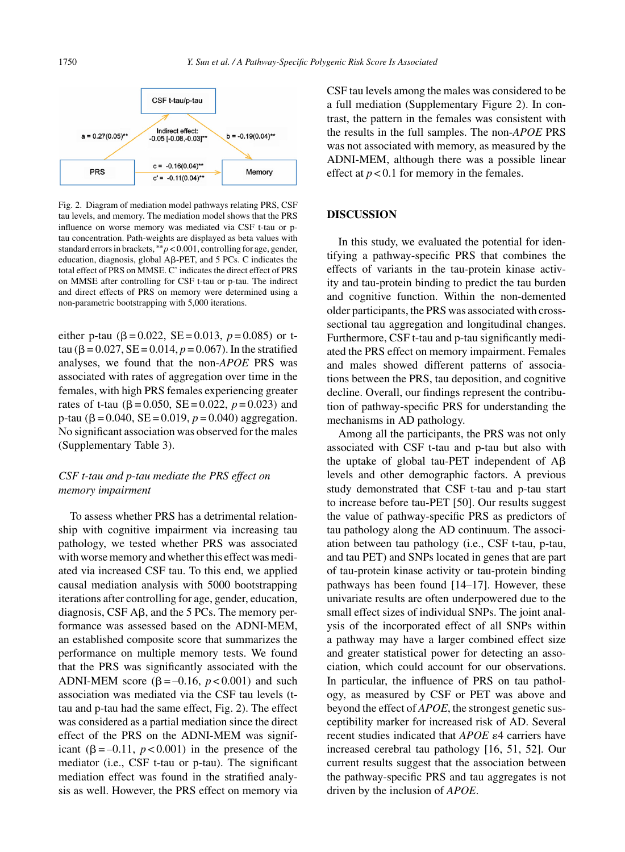

Fig. 2. Diagram of mediation model pathways relating PRS, CSF tau levels, and memory. The mediation model shows that the PRS influence on worse memory was mediated via CSF t-tau or ptau concentration. Path-weights are displayed as beta values with standard errors in brackets, ∗∗*p* < 0.001, controlling for age, gender, education, diagnosis, global A $\beta$ -PET, and 5 PCs. C indicates the total effect of PRS on MMSE. C' indicates the direct effect of PRS on MMSE after controlling for CSF t-tau or p-tau. The indirect and direct effects of PRS on memory were determined using a non-parametric bootstrapping with 5,000 iterations.

either p-tau ( $\beta = 0.022$ ,  $SE = 0.013$ ,  $p = 0.085$ ) or ttau ( $\beta$  = 0.027, SE = 0.014,  $p$  = 0.067). In the stratified analyses, we found that the non-*APOE* PRS was associated with rates of aggregation over time in the females, with high PRS females experiencing greater rates of t-tau ( $\beta$  = 0.050, SE = 0.022,  $p$  = 0.023) and p-tau ( $\beta$  = 0.040, SE = 0.019,  $p$  = 0.040) aggregation. No significant association was observed for the males (Supplementary Table 3).

# *CSF t-tau and p-tau mediate the PRS effect on memory impairment*

To assess whether PRS has a detrimental relationship with cognitive impairment via increasing tau pathology, we tested whether PRS was associated with worse memory and whether this effect was mediated via increased CSF tau. To this end, we applied causal mediation analysis with 5000 bootstrapping iterations after controlling for age, gender, education, diagnosis,  $CSF A\beta$ , and the 5 PCs. The memory performance was assessed based on the ADNI-MEM, an established composite score that summarizes the performance on multiple memory tests. We found that the PRS was significantly associated with the ADNI-MEM score ( $\beta$  = -0.16,  $p$  < 0.001) and such association was mediated via the CSF tau levels (ttau and p-tau had the same effect, Fig. 2). The effect was considered as a partial mediation since the direct effect of the PRS on the ADNI-MEM was significant  $(\beta = -0.11, p < 0.001)$  in the presence of the mediator (i.e., CSF t-tau or p-tau). The significant mediation effect was found in the stratified analysis as well. However, the PRS effect on memory via

CSF tau levels among the males was considered to be a full mediation (Supplementary Figure 2). In contrast, the pattern in the females was consistent with the results in the full samples. The non-*APOE* PRS was not associated with memory, as measured by the ADNI-MEM, although there was a possible linear effect at  $p < 0.1$  for memory in the females.

#### **DISCUSSION**

In this study, we evaluated the potential for identifying a pathway-specific PRS that combines the effects of variants in the tau-protein kinase activity and tau-protein binding to predict the tau burden and cognitive function. Within the non-demented older participants, the PRS was associated with crosssectional tau aggregation and longitudinal changes. Furthermore, CSF t-tau and p-tau significantly mediated the PRS effect on memory impairment. Females and males showed different patterns of associations between the PRS, tau deposition, and cognitive decline. Overall, our findings represent the contribution of pathway-specific PRS for understanding the mechanisms in AD pathology.

Among all the participants, the PRS was not only associated with CSF t-tau and p-tau but also with the uptake of global tau-PET independent of  $A\beta$ levels and other demographic factors. A previous study demonstrated that CSF t-tau and p-tau start to increase before tau-PET [50]. Our results suggest the value of pathway-specific PRS as predictors of tau pathology along the AD continuum. The association between tau pathology (i.e., CSF t-tau, p-tau, and tau PET) and SNPs located in genes that are part of tau-protein kinase activity or tau-protein binding pathways has been found [14–17]. However, these univariate results are often underpowered due to the small effect sizes of individual SNPs. The joint analysis of the incorporated effect of all SNPs within a pathway may have a larger combined effect size and greater statistical power for detecting an association, which could account for our observations. In particular, the influence of PRS on tau pathology, as measured by CSF or PET was above and beyond the effect of *APOE*, the strongest genetic susceptibility marker for increased risk of AD. Several recent studies indicated that *APOE*  $\varepsilon$ 4 carriers have increased cerebral tau pathology [16, 51, 52]. Our current results suggest that the association between the pathway-specific PRS and tau aggregates is not driven by the inclusion of *APOE*.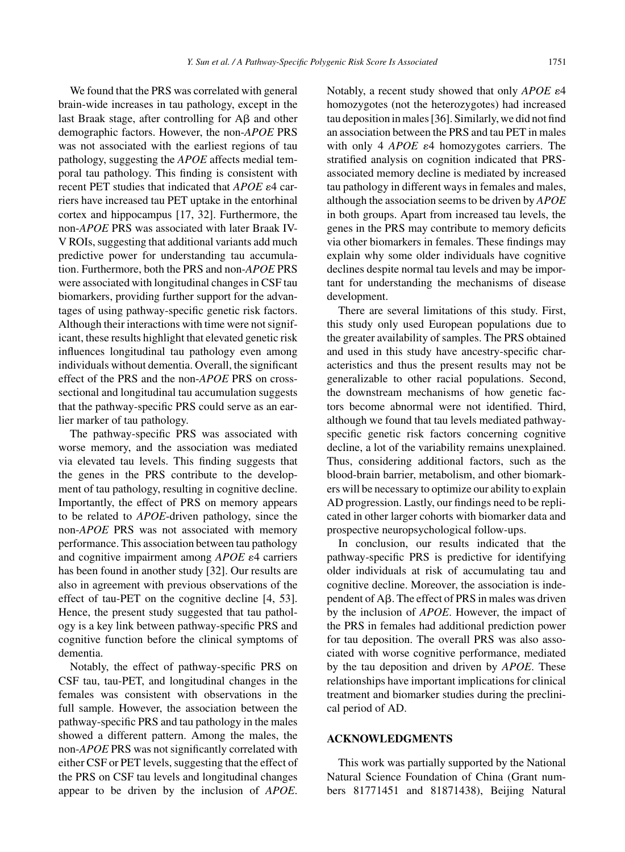We found that the PRS was correlated with general brain-wide increases in tau pathology, except in the last Braak stage, after controlling for  $A\beta$  and other demographic factors. However, the non-*APOE* PRS was not associated with the earliest regions of tau pathology, suggesting the *APOE* affects medial temporal tau pathology. This finding is consistent with recent PET studies that indicated that  $APOE \epsilon 4$  carriers have increased tau PET uptake in the entorhinal cortex and hippocampus [17, 32]. Furthermore, the non-*APOE* PRS was associated with later Braak IV-V ROIs, suggesting that additional variants add much predictive power for understanding tau accumulation. Furthermore, both the PRS and non-*APOE* PRS were associated with longitudinal changes in CSF tau biomarkers, providing further support for the advantages of using pathway-specific genetic risk factors. Although their interactions with time were not significant, these results highlight that elevated genetic risk influences longitudinal tau pathology even among individuals without dementia. Overall, the significant effect of the PRS and the non-*APOE* PRS on crosssectional and longitudinal tau accumulation suggests that the pathway-specific PRS could serve as an earlier marker of tau pathology.

The pathway-specific PRS was associated with worse memory, and the association was mediated via elevated tau levels. This finding suggests that the genes in the PRS contribute to the development of tau pathology, resulting in cognitive decline. Importantly, the effect of PRS on memory appears to be related to *APOE*-driven pathology, since the non-*APOE* PRS was not associated with memory performance. This association between tau pathology and cognitive impairment among *APOE*  $\varepsilon$ 4 carriers has been found in another study [32]. Our results are also in agreement with previous observations of the effect of tau-PET on the cognitive decline [4, 53]. Hence, the present study suggested that tau pathology is a key link between pathway-specific PRS and cognitive function before the clinical symptoms of dementia.

Notably, the effect of pathway-specific PRS on CSF tau, tau-PET, and longitudinal changes in the females was consistent with observations in the full sample. However, the association between the pathway-specific PRS and tau pathology in the males showed a different pattern. Among the males, the non-*APOE* PRS was not significantly correlated with either CSF or PET levels, suggesting that the effect of the PRS on CSF tau levels and longitudinal changes appear to be driven by the inclusion of *APOE*.

Notably, a recent study showed that only  $APOE \varepsilon 4$ homozygotes (not the heterozygotes) had increased tau deposition in males [36]. Similarly, we did not find an association between the PRS and tau PET in males with only 4 *APOE*  $\varepsilon$ 4 homozygotes carriers. The stratified analysis on cognition indicated that PRSassociated memory decline is mediated by increased tau pathology in different ways in females and males, although the association seems to be driven by *APOE* in both groups. Apart from increased tau levels, the genes in the PRS may contribute to memory deficits via other biomarkers in females. These findings may explain why some older individuals have cognitive declines despite normal tau levels and may be important for understanding the mechanisms of disease development.

There are several limitations of this study. First, this study only used European populations due to the greater availability of samples. The PRS obtained and used in this study have ancestry-specific characteristics and thus the present results may not be generalizable to other racial populations. Second, the downstream mechanisms of how genetic factors become abnormal were not identified. Third, although we found that tau levels mediated pathwayspecific genetic risk factors concerning cognitive decline, a lot of the variability remains unexplained. Thus, considering additional factors, such as the blood-brain barrier, metabolism, and other biomarkers will be necessary to optimize our ability to explain AD progression. Lastly, our findings need to be replicated in other larger cohorts with biomarker data and prospective neuropsychological follow-ups.

In conclusion, our results indicated that the pathway-specific PRS is predictive for identifying older individuals at risk of accumulating tau and cognitive decline. Moreover, the association is independent of  $A\beta$ . The effect of PRS in males was driven by the inclusion of *APOE*. However, the impact of the PRS in females had additional prediction power for tau deposition. The overall PRS was also associated with worse cognitive performance, mediated by the tau deposition and driven by *APOE*. These relationships have important implications for clinical treatment and biomarker studies during the preclinical period of AD.

#### **ACKNOWLEDGMENTS**

This work was partially supported by the National Natural Science Foundation of China (Grant numbers 81771451 and 81871438), Beijing Natural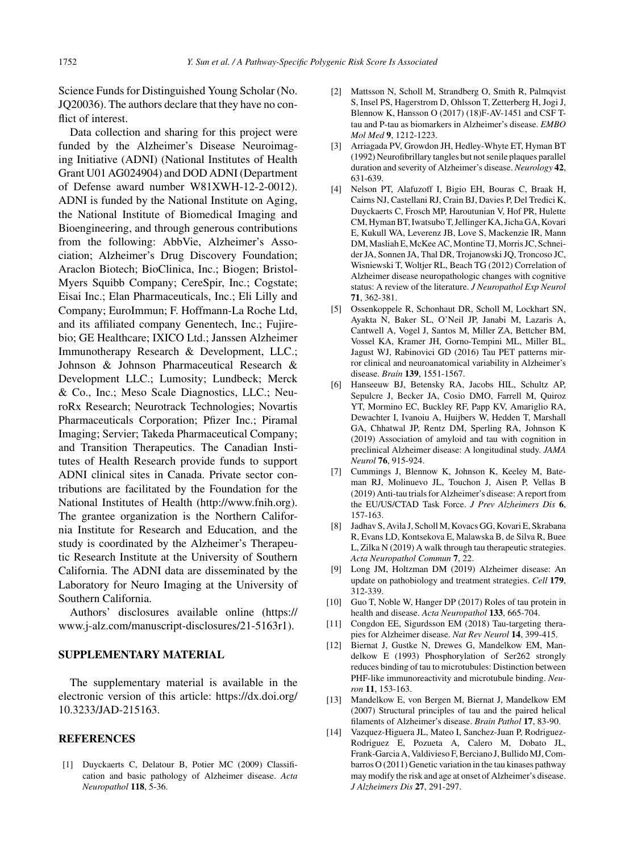Science Funds for Distinguished Young Scholar (No. JQ20036). The authors declare that they have no conflict of interest.

Data collection and sharing for this project were funded by the Alzheimer's Disease Neuroimaging Initiative (ADNI) (National Institutes of Health Grant U01 AG024904) and DOD ADNI (Department of Defense award number W81XWH-12-2-0012). ADNI is funded by the National Institute on Aging, the National Institute of Biomedical Imaging and Bioengineering, and through generous contributions from the following: AbbVie, Alzheimer's Association; Alzheimer's Drug Discovery Foundation; Araclon Biotech; BioClinica, Inc.; Biogen; Bristol-Myers Squibb Company; CereSpir, Inc.; Cogstate; Eisai Inc.; Elan Pharmaceuticals, Inc.; Eli Lilly and Company; EuroImmun; F. Hoffmann-La Roche Ltd, and its affiliated company Genentech, Inc.; Fujirebio; GE Healthcare; IXICO Ltd.; Janssen Alzheimer Immunotherapy Research & Development, LLC.; Johnson & Johnson Pharmaceutical Research & Development LLC.; Lumosity; Lundbeck; Merck & Co., Inc.; Meso Scale Diagnostics, LLC.; NeuroRx Research; Neurotrack Technologies; Novartis Pharmaceuticals Corporation; Pfizer Inc.; Piramal Imaging; Servier; Takeda Pharmaceutical Company; and Transition Therapeutics. The Canadian Institutes of Health Research provide funds to support ADNI clinical sites in Canada. Private sector contributions are facilitated by the Foundation for the National Institutes of Health ([http://www.fnih.org\)](http://www.fnih.org). The grantee organization is the Northern California Institute for Research and Education, and the study is coordinated by the Alzheimer's Therapeutic Research Institute at the University of Southern California. The ADNI data are disseminated by the Laboratory for Neuro Imaging at the University of Southern California.

Authors' disclosures available online ([https://](https://www.j-alz.com/manuscript-disclosures/21-5163r1) [www.j-alz.com/manuscript-disclosures/21-5163r1\)](https://www.j-alz.com/manuscript-disclosures/21-5163r1).

## **SUPPLEMENTARY MATERIAL**

The supplementary material is available in the electronic version of this article: [https://dx.doi.org/](https://dx.doi.org/10.3233/JAD-215163) [10.3233/JAD-215163.](https://dx.doi.org/10.3233/JAD-215163)

#### **REFERENCES**

[1] Duyckaerts C, Delatour B, Potier MC (2009) Classification and basic pathology of Alzheimer disease. *Acta Neuropathol* **118**, 5-36.

- [2] Mattsson N, Scholl M, Strandberg O, Smith R, Palmqvist S, Insel PS, Hagerstrom D, Ohlsson T, Zetterberg H, Jogi J, Blennow K, Hansson O (2017) (18)F-AV-1451 and CSF Ttau and P-tau as biomarkers in Alzheimer's disease. *EMBO Mol Med* **9**, 1212-1223.
- [3] Arriagada PV, Growdon JH, Hedley-Whyte ET, Hyman BT (1992) Neurofibrillary tangles but not senile plaques parallel duration and severity of Alzheimer's disease. *Neurology* **42**, 631-639.
- [4] Nelson PT, Alafuzoff I, Bigio EH, Bouras C, Braak H, Cairns NJ, Castellani RJ, Crain BJ, Davies P, Del Tredici K, Duyckaerts C, Frosch MP, Haroutunian V, Hof PR, Hulette CM, Hyman BT, Iwatsubo T, Jellinger KA, Jicha GA, Kovari E, Kukull WA, Leverenz JB, Love S, Mackenzie IR, Mann DM, Masliah E, McKee AC, Montine TJ, Morris JC, Schneider JA, Sonnen JA, Thal DR, Trojanowski JQ, Troncoso JC, Wisniewski T, Woltjer RL, Beach TG (2012) Correlation of Alzheimer disease neuropathologic changes with cognitive status: A review of the literature. *J Neuropathol Exp Neurol* **71**, 362-381.
- [5] Ossenkoppele R, Schonhaut DR, Scholl M, Lockhart SN, Ayakta N, Baker SL, O'Neil JP, Janabi M, Lazaris A, Cantwell A, Vogel J, Santos M, Miller ZA, Bettcher BM, Vossel KA, Kramer JH, Gorno-Tempini ML, Miller BL, Jagust WJ, Rabinovici GD (2016) Tau PET patterns mirror clinical and neuroanatomical variability in Alzheimer's disease. *Brain* **139**, 1551-1567.
- [6] Hanseeuw BJ, Betensky RA, Jacobs HIL, Schultz AP, Sepulcre J, Becker JA, Cosio DMO, Farrell M, Quiroz YT, Mormino EC, Buckley RF, Papp KV, Amariglio RA, Dewachter I, Ivanoiu A, Huijbers W, Hedden T, Marshall GA, Chhatwal JP, Rentz DM, Sperling RA, Johnson K (2019) Association of amyloid and tau with cognition in preclinical Alzheimer disease: A longitudinal study. *JAMA Neurol* **76**, 915-924.
- [7] Cummings J, Blennow K, Johnson K, Keeley M, Bateman RJ, Molinuevo JL, Touchon J, Aisen P, Vellas B (2019) Anti-tau trials for Alzheimer's disease: A report from the EU/US/CTAD Task Force. *J Prev Alzheimers Dis* **6**, 157-163.
- [8] Jadhav S, Avila J, Scholl M, Kovacs GG, Kovari E, Skrabana R, Evans LD, Kontsekova E, Malawska B, de Silva R, Buee L, Zilka N (2019) A walk through tau therapeutic strategies. *Acta Neuropathol Commun* **7**, 22.
- [9] Long JM, Holtzman DM (2019) Alzheimer disease: An update on pathobiology and treatment strategies. *Cell* **179**, 312-339.
- [10] Guo T, Noble W, Hanger DP (2017) Roles of tau protein in health and disease. *Acta Neuropathol* **133**, 665-704.
- [11] Congdon EE, Sigurdsson EM (2018) Tau-targeting therapies for Alzheimer disease. *Nat Rev Neurol* **14**, 399-415.
- [12] Biernat J, Gustke N, Drewes G, Mandelkow EM, Mandelkow E (1993) Phosphorylation of Ser262 strongly reduces binding of tau to microtubules: Distinction between PHF-like immunoreactivity and microtubule binding. *Neuron* **11**, 153-163.
- [13] Mandelkow E, von Bergen M, Biernat J, Mandelkow EM (2007) Structural principles of tau and the paired helical filaments of Alzheimer's disease. *Brain Pathol* **17**, 83-90.
- [14] Vazquez-Higuera JL, Mateo I, Sanchez-Juan P, Rodriguez-Rodriguez E, Pozueta A, Calero M, Dobato JL, Frank-Garcia A, Valdivieso F, Berciano J, Bullido MJ, Combarros O (2011) Genetic variation in the tau kinases pathway may modify the risk and age at onset of Alzheimer's disease. *J Alzheimers Dis* **27**, 291-297.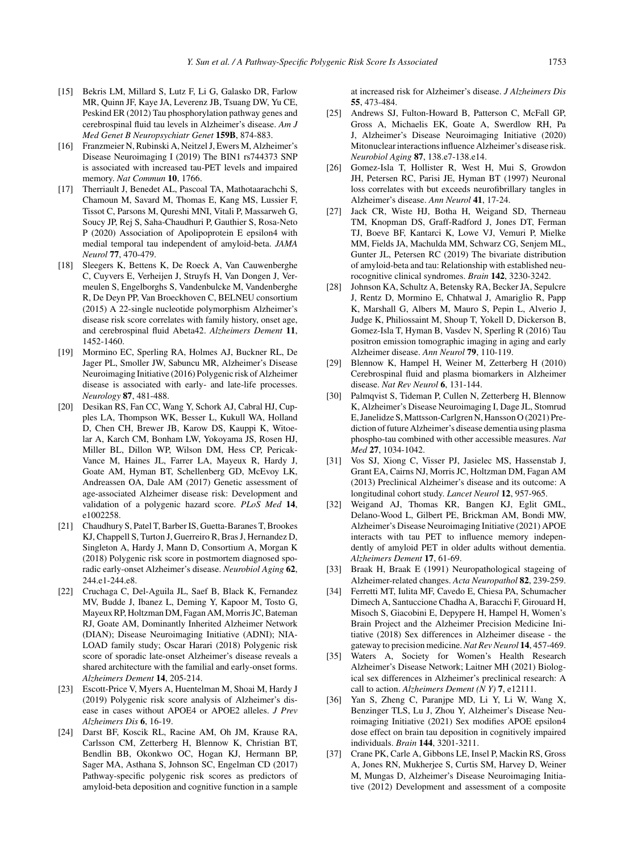- [15] Bekris LM, Millard S, Lutz F, Li G, Galasko DR, Farlow MR, Quinn JF, Kaye JA, Leverenz JB, Tsuang DW, Yu CE, Peskind ER (2012) Tau phosphorylation pathway genes and cerebrospinal fluid tau levels in Alzheimer's disease. *Am J Med Genet B Neuropsychiatr Genet* **159B**, 874-883.
- [16] Franzmeier N, Rubinski A, Neitzel J, Ewers M, Alzheimer's Disease Neuroimaging I (2019) The BIN1 rs744373 SNP is associated with increased tau-PET levels and impaired memory. *Nat Commun* **10**, 1766.
- [17] Therriault J, Benedet AL, Pascoal TA, Mathotaarachchi S, Chamoun M, Savard M, Thomas E, Kang MS, Lussier F, Tissot C, Parsons M, Qureshi MNI, Vitali P, Massarweh G, Soucy JP, Rej S, Saha-Chaudhuri P, Gauthier S, Rosa-Neto P (2020) Association of Apolipoprotein E epsilon4 with medial temporal tau independent of amyloid-beta. *JAMA Neurol* **77**, 470-479.
- [18] Sleegers K, Bettens K, De Roeck A, Van Cauwenberghe C, Cuyvers E, Verheijen J, Struyfs H, Van Dongen J, Vermeulen S, Engelborghs S, Vandenbulcke M, Vandenberghe R, De Deyn PP, Van Broeckhoven C, BELNEU consortium (2015) A 22-single nucleotide polymorphism Alzheimer's disease risk score correlates with family history, onset age, and cerebrospinal fluid Abeta42. *Alzheimers Dement* **11**, 1452-1460.
- [19] Mormino EC, Sperling RA, Holmes AJ, Buckner RL, De Jager PL, Smoller JW, Sabuncu MR, Alzheimer's Disease Neuroimaging Initiative (2016) Polygenic risk of Alzheimer disease is associated with early- and late-life processes. *Neurology* **87**, 481-488.
- [20] Desikan RS, Fan CC, Wang Y, Schork AJ, Cabral HJ, Cupples LA, Thompson WK, Besser L, Kukull WA, Holland D, Chen CH, Brewer JB, Karow DS, Kauppi K, Witoelar A, Karch CM, Bonham LW, Yokoyama JS, Rosen HJ, Miller BL, Dillon WP, Wilson DM, Hess CP, Pericak-Vance M, Haines JL, Farrer LA, Mayeux R, Hardy J, Goate AM, Hyman BT, Schellenberg GD, McEvoy LK, Andreassen OA, Dale AM (2017) Genetic assessment of age-associated Alzheimer disease risk: Development and validation of a polygenic hazard score. *PLoS Med* **14**, e1002258.
- [21] Chaudhury S, Patel T, Barber IS, Guetta-Baranes T, Brookes KJ, Chappell S, Turton J, Guerreiro R, Bras J, Hernandez D, Singleton A, Hardy J, Mann D, Consortium A, Morgan K (2018) Polygenic risk score in postmortem diagnosed sporadic early-onset Alzheimer's disease. *Neurobiol Aging* **62**, 244.e1-244.e8.
- [22] Cruchaga C, Del-Aguila JL, Saef B, Black K, Fernandez MV, Budde J, Ibanez L, Deming Y, Kapoor M, Tosto G, Mayeux RP, Holtzman DM, Fagan AM, Morris JC, Bateman RJ, Goate AM, Dominantly Inherited Alzheimer Network (DIAN); Disease Neuroimaging Initiative (ADNI); NIA-LOAD family study; Oscar Harari (2018) Polygenic risk score of sporadic late-onset Alzheimer's disease reveals a shared architecture with the familial and early-onset forms. *Alzheimers Dement* **14**, 205-214.
- [23] Escott-Price V, Myers A, Huentelman M, Shoai M, Hardy J (2019) Polygenic risk score analysis of Alzheimer's disease in cases without APOE4 or APOE2 alleles. *J Prev Alzheimers Dis* **6**, 16-19.
- [24] Darst BF, Koscik RL, Racine AM, Oh JM, Krause RA, Carlsson CM, Zetterberg H, Blennow K, Christian BT, Bendlin BB, Okonkwo OC, Hogan KJ, Hermann BP, Sager MA, Asthana S, Johnson SC, Engelman CD (2017) Pathway-specific polygenic risk scores as predictors of amyloid-beta deposition and cognitive function in a sample

at increased risk for Alzheimer's disease. *J Alzheimers Dis* **55**, 473-484.

- [25] Andrews SJ, Fulton-Howard B, Patterson C, McFall GP, Gross A, Michaelis EK, Goate A, Swerdlow RH, Pa J, Alzheimer's Disease Neuroimaging Initiative (2020) Mitonuclear interactions influence Alzheimer's disease risk. *Neurobiol Aging* **87**, 138.e7-138.e14.
- [26] Gomez-Isla T, Hollister R, West H, Mui S, Growdon JH, Petersen RC, Parisi JE, Hyman BT (1997) Neuronal loss correlates with but exceeds neurofibrillary tangles in Alzheimer's disease. *Ann Neurol* **41**, 17-24.
- [27] Jack CR, Wiste HJ, Botha H, Weigand SD, Therneau TM, Knopman DS, Graff-Radford J, Jones DT, Ferman TJ, Boeve BF, Kantarci K, Lowe VJ, Vemuri P, Mielke MM, Fields JA, Machulda MM, Schwarz CG, Senjem ML, Gunter JL, Petersen RC (2019) The bivariate distribution of amyloid-beta and tau: Relationship with established neurocognitive clinical syndromes. *Brain* **142**, 3230-3242.
- [28] Johnson KA, Schultz A, Betensky RA, Becker JA, Sepulcre J, Rentz D, Mormino E, Chhatwal J, Amariglio R, Papp K, Marshall G, Albers M, Mauro S, Pepin L, Alverio J, Judge K, Philiossaint M, Shoup T, Yokell D, Dickerson B, Gomez-Isla T, Hyman B, Vasdev N, Sperling R (2016) Tau positron emission tomographic imaging in aging and early Alzheimer disease. *Ann Neurol* **79**, 110-119.
- [29] Blennow K, Hampel H, Weiner M, Zetterberg H (2010) Cerebrospinal fluid and plasma biomarkers in Alzheimer disease. *Nat Rev Neurol* **6**, 131-144.
- [30] Palmqvist S, Tideman P, Cullen N, Zetterberg H, Blennow K, Alzheimer's Disease Neuroimaging I, Dage JL, Stomrud E, Janelidze S, Mattsson-Carlgren N, Hansson O (2021) Prediction of future Alzheimer's disease dementia using plasma phospho-tau combined with other accessible measures. *Nat Med* **27**, 1034-1042.
- [31] Vos SJ, Xiong C, Visser PJ, Jasielec MS, Hassenstab J, Grant EA, Cairns NJ, Morris JC, Holtzman DM, Fagan AM (2013) Preclinical Alzheimer's disease and its outcome: A longitudinal cohort study. *Lancet Neurol* **12**, 957-965.
- [32] Weigand AJ, Thomas KR, Bangen KJ, Eglit GML, Delano-Wood L, Gilbert PE, Brickman AM, Bondi MW, Alzheimer's Disease Neuroimaging Initiative (2021) APOE interacts with tau PET to influence memory independently of amyloid PET in older adults without dementia. *Alzheimers Dement* **17**, 61-69.
- [33] Braak H, Braak E (1991) Neuropathological stageing of Alzheimer-related changes. *Acta Neuropathol* **82**, 239-259.
- [34] Ferretti MT, Iulita MF, Cavedo E, Chiesa PA, Schumacher Dimech A, Santuccione Chadha A, Baracchi F, Girouard H, Misoch S, Giacobini E, Depypere H, Hampel H, Women's Brain Project and the Alzheimer Precision Medicine Initiative (2018) Sex differences in Alzheimer disease - the gateway to precision medicine. *Nat Rev Neurol* **14**, 457-469.
- [35] Waters A, Society for Women's Health Research Alzheimer's Disease Network; Laitner MH (2021) Biological sex differences in Alzheimer's preclinical research: A call to action. *Alzheimers Dement (N Y)* **7**, e12111.
- [36] Yan S, Zheng C, Paranjpe MD, Li Y, Li W, Wang X, Benzinger TLS, Lu J, Zhou Y, Alzheimer's Disease Neuroimaging Initiative (2021) Sex modifies APOE epsilon4 dose effect on brain tau deposition in cognitively impaired individuals. *Brain* **144**, 3201-3211.
- [37] Crane PK, Carle A, Gibbons LE, Insel P, Mackin RS, Gross A, Jones RN, Mukherjee S, Curtis SM, Harvey D, Weiner M, Mungas D, Alzheimer's Disease Neuroimaging Initiative (2012) Development and assessment of a composite